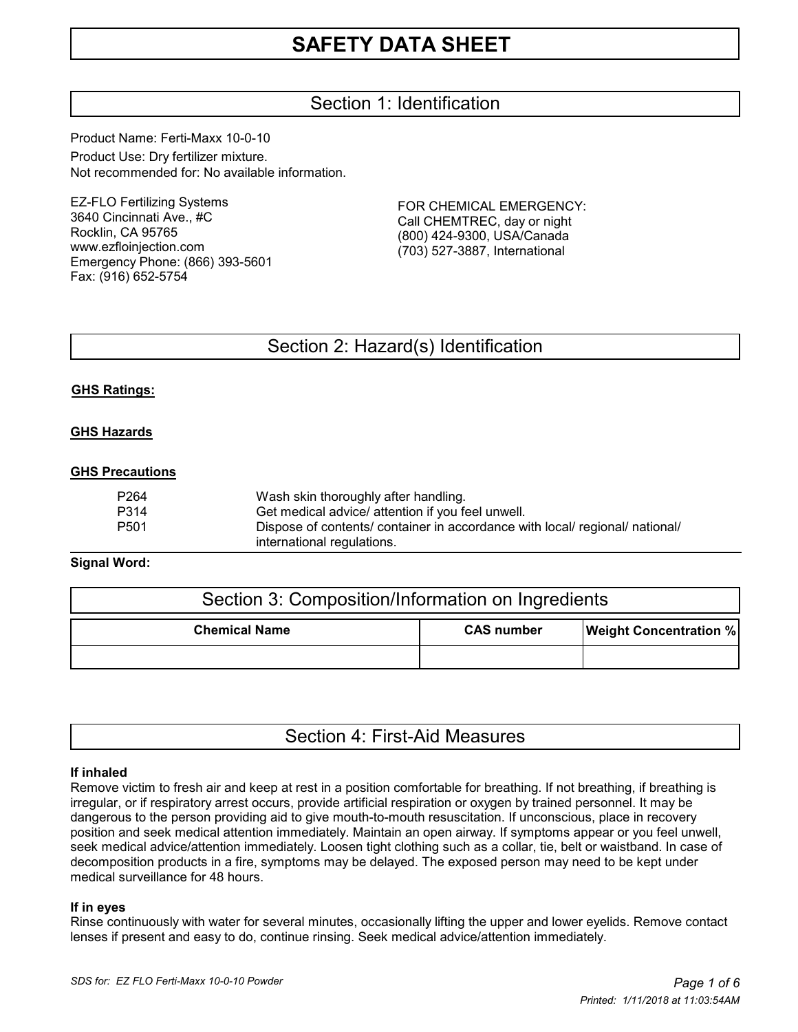# Section 1: Identification

Product Name: Ferti-Maxx 10-0-10 Product Use: Dry fertilizer mixture. Not recommended for: No available information.

EZ-FLO Fertilizing Systems 3640 Cincinnati Ave., #C Rocklin, CA 95765 www.ezfloinjection.com Emergency Phone: (866) 393-5601 Fax: (916) 652-5754

FOR CHEMICAL EMERGENCY: Call CHEMTREC, day or night (800) 424-9300, USA/Canada (703) 527-3887, International

## Section 2: Hazard(s) Identification

#### **GHS Ratings:**

#### **GHS Hazards**

#### **GHS Precautions**

| P264 | Wash skin thoroughly after handling.                                         |
|------|------------------------------------------------------------------------------|
| P314 | Get medical advice/ attention if you feel unwell.                            |
| P501 | Dispose of contents/ container in accordance with local/ regional/ national/ |
|      | international regulations.                                                   |

#### **Signal Word:**

| Section 3: Composition/Information on Ingredients |                   |                               |  |  |  |
|---------------------------------------------------|-------------------|-------------------------------|--|--|--|
| <b>Chemical Name</b>                              | <b>CAS number</b> | <b>Weight Concentration %</b> |  |  |  |
|                                                   |                   |                               |  |  |  |

|  |  | Section 4: First-Aid Measures |
|--|--|-------------------------------|
|--|--|-------------------------------|

#### **If inhaled**

Remove victim to fresh air and keep at rest in a position comfortable for breathing. If not breathing, if breathing is irregular, or if respiratory arrest occurs, provide artificial respiration or oxygen by trained personnel. It may be dangerous to the person providing aid to give mouth-to-mouth resuscitation. If unconscious, place in recovery position and seek medical attention immediately. Maintain an open airway. If symptoms appear or you feel unwell, seek medical advice/attention immediately. Loosen tight clothing such as a collar, tie, belt or waistband. In case of decomposition products in a fire, symptoms may be delayed. The exposed person may need to be kept under medical surveillance for 48 hours.

#### **If in eyes**

Rinse continuously with water for several minutes, occasionally lifting the upper and lower eyelids. Remove contact lenses if present and easy to do, continue rinsing. Seek medical advice/attention immediately.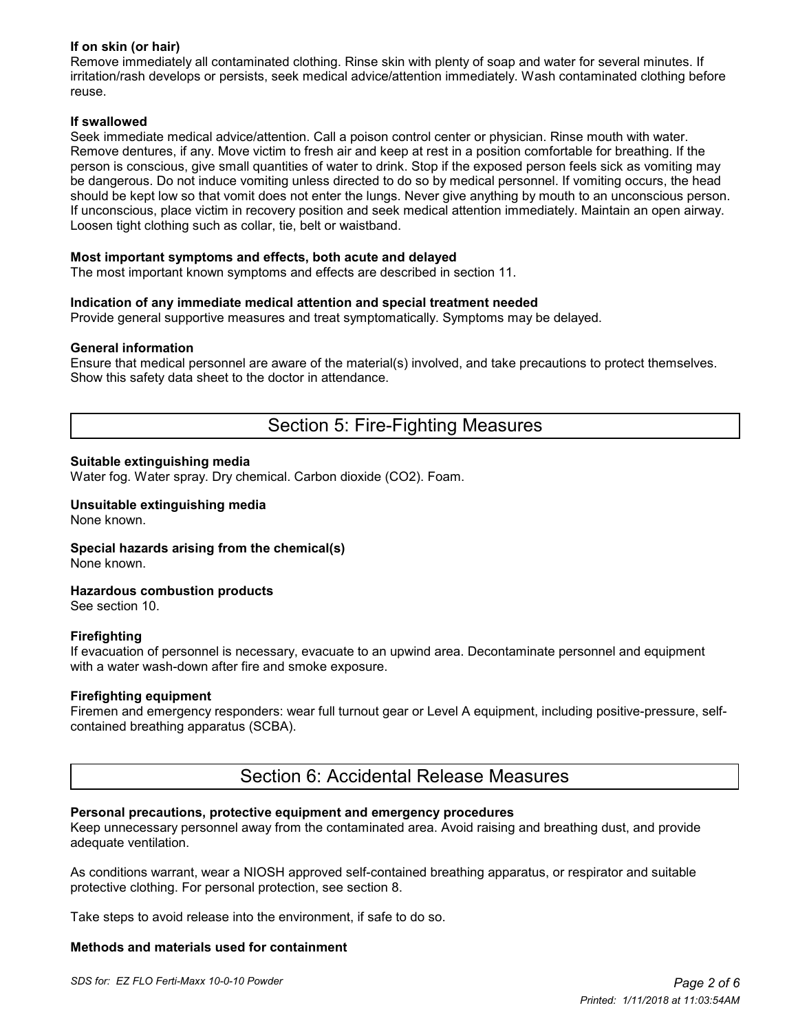#### **If on skin (or hair)**

Remove immediately all contaminated clothing. Rinse skin with plenty of soap and water for several minutes. If irritation/rash develops or persists, seek medical advice/attention immediately. Wash contaminated clothing before reuse.

#### **If swallowed**

Seek immediate medical advice/attention. Call a poison control center or physician. Rinse mouth with water. Remove dentures, if any. Move victim to fresh air and keep at rest in a position comfortable for breathing. If the person is conscious, give small quantities of water to drink. Stop if the exposed person feels sick as vomiting may be dangerous. Do not induce vomiting unless directed to do so by medical personnel. If vomiting occurs, the head should be kept low so that vomit does not enter the lungs. Never give anything by mouth to an unconscious person. If unconscious, place victim in recovery position and seek medical attention immediately. Maintain an open airway. Loosen tight clothing such as collar, tie, belt or waistband.

#### **Most important symptoms and effects, both acute and delayed**

The most important known symptoms and effects are described in section 11.

#### **Indication of any immediate medical attention and special treatment needed**

Provide general supportive measures and treat symptomatically. Symptoms may be delayed.

#### **General information**

Ensure that medical personnel are aware of the material(s) involved, and take precautions to protect themselves. Show this safety data sheet to the doctor in attendance.

## Section 5: Fire-Fighting Measures

#### **Suitable extinguishing media**

Water fog. Water spray. Dry chemical. Carbon dioxide (CO2). Foam.

#### **Unsuitable extinguishing media** None known.

**Special hazards arising from the chemical(s)**

None known.

#### **Hazardous combustion products**

See section 10.

#### **Firefighting**

If evacuation of personnel is necessary, evacuate to an upwind area. Decontaminate personnel and equipment with a water wash-down after fire and smoke exposure.

#### **Firefighting equipment**

Firemen and emergency responders: wear full turnout gear or Level A equipment, including positive-pressure, selfcontained breathing apparatus (SCBA).

### Section 6: Accidental Release Measures

#### **Personal precautions, protective equipment and emergency procedures**

Keep unnecessary personnel away from the contaminated area. Avoid raising and breathing dust, and provide adequate ventilation.

As conditions warrant, wear a NIOSH approved self-contained breathing apparatus, or respirator and suitable protective clothing. For personal protection, see section 8.

Take steps to avoid release into the environment, if safe to do so.

#### **Methods and materials used for containment**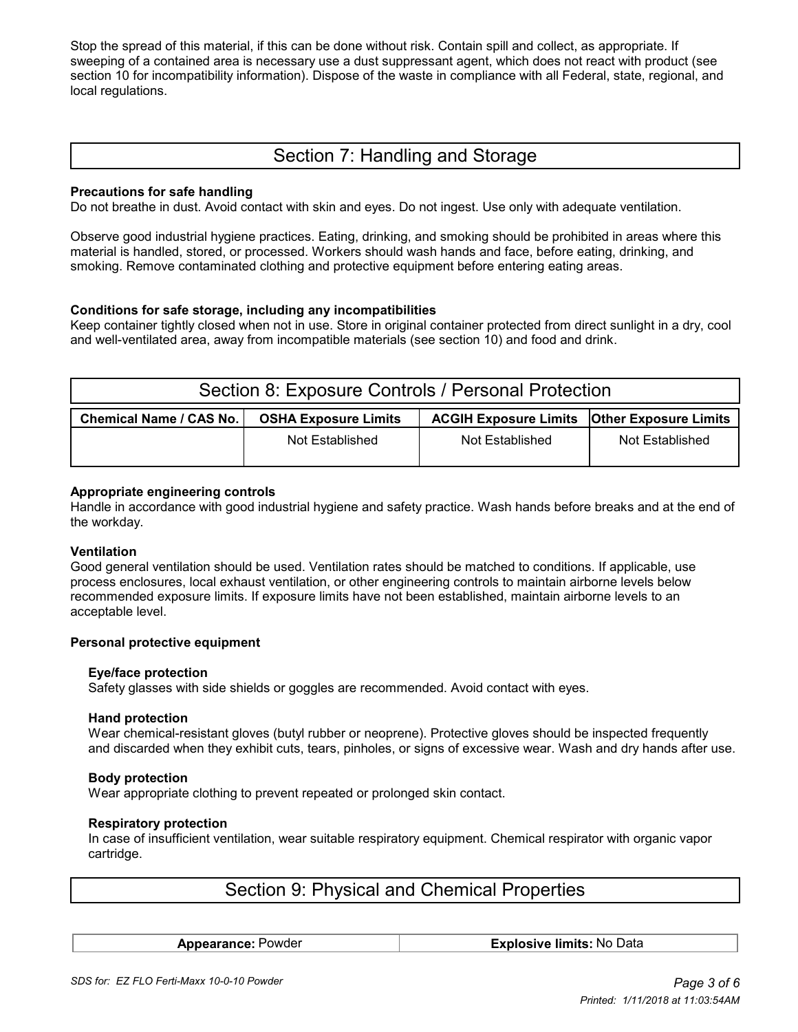Stop the spread of this material, if this can be done without risk. Contain spill and collect, as appropriate. If sweeping of a contained area is necessary use a dust suppressant agent, which does not react with product (see section 10 for incompatibility information). Dispose of the waste in compliance with all Federal, state, regional, and local regulations.

# Section 7: Handling and Storage

#### **Precautions for safe handling**

Do not breathe in dust. Avoid contact with skin and eyes. Do not ingest. Use only with adequate ventilation.

Observe good industrial hygiene practices. Eating, drinking, and smoking should be prohibited in areas where this material is handled, stored, or processed. Workers should wash hands and face, before eating, drinking, and smoking. Remove contaminated clothing and protective equipment before entering eating areas.

#### **Conditions for safe storage, including any incompatibilities**

Keep container tightly closed when not in use. Store in original container protected from direct sunlight in a dry, cool and well-ventilated area, away from incompatible materials (see section 10) and food and drink.

| Section 8: Exposure Controls / Personal Protection |                             |                                                      |                 |  |  |  |
|----------------------------------------------------|-----------------------------|------------------------------------------------------|-----------------|--|--|--|
| Chemical Name / CAS No.                            | <b>OSHA Exposure Limits</b> | <b>ACGIH Exposure Limits   Other Exposure Limits</b> |                 |  |  |  |
|                                                    | Not Established             | Not Established                                      | Not Established |  |  |  |

#### **Appropriate engineering controls**

Handle in accordance with good industrial hygiene and safety practice. Wash hands before breaks and at the end of the workday.

#### **Ventilation**

Good general ventilation should be used. Ventilation rates should be matched to conditions. If applicable, use process enclosures, local exhaust ventilation, or other engineering controls to maintain airborne levels below recommended exposure limits. If exposure limits have not been established, maintain airborne levels to an acceptable level.

#### **Personal protective equipment**

#### **Eye/face protection**

Safety glasses with side shields or goggles are recommended. Avoid contact with eyes.

#### **Hand protection**

 Wear chemical-resistant gloves (butyl rubber or neoprene). Protective gloves should be inspected frequently and discarded when they exhibit cuts, tears, pinholes, or signs of excessive wear. Wash and dry hands after use.

#### **Body protection**

Wear appropriate clothing to prevent repeated or prolonged skin contact.

#### **Respiratory protection**

 In case of insufficient ventilation, wear suitable respiratory equipment. Chemical respirator with organic vapor cartridge.

# Section 9: Physical and Chemical Properties

**Appearance:** Powder **Explosive limits:** No Data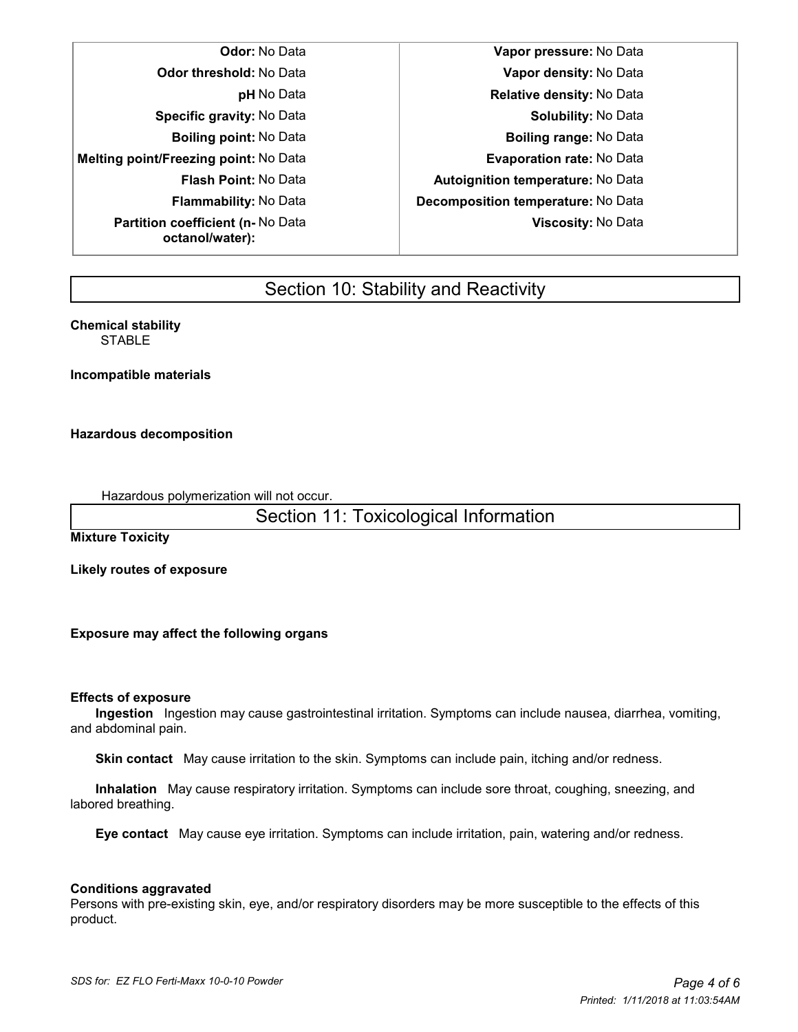**Melting point/Freezing point:** No Data **Evaporation rate:** No Data **Partition coefficient (n-** No Data **octanol/water):**

**Odor:** No Data **Vapor pressure:** No Data **Odor threshold:** No Data **Vapor density:** No Data **pH** No Data **Relative density:** No Data **Specific gravity:** No Data **Solubility:** No Data **Boiling point:** No Data **Boiling range:** No Data **Flash Point:** No Data **Autoignition temperature:** No Data **Flammability:** No Data **Decomposition temperature:** No Data **Viscosity:** No Data

# Section 10: Stability and Reactivity

**Chemical stability STABLE** 

**Incompatible materials**

#### **Hazardous decomposition**

Hazardous polymerization will not occur.

Section 11: Toxicological Information

**Mixture Toxicity**

**Likely routes of exposure**

**Exposure may affect the following organs**

#### **Effects of exposure**

 **Ingestion** Ingestion may cause gastrointestinal irritation. Symptoms can include nausea, diarrhea, vomiting, and abdominal pain.

 **Skin contact** May cause irritation to the skin. Symptoms can include pain, itching and/or redness.

 **Inhalation** May cause respiratory irritation. Symptoms can include sore throat, coughing, sneezing, and labored breathing.

 **Eye contact** May cause eye irritation. Symptoms can include irritation, pain, watering and/or redness.

#### **Conditions aggravated**

Persons with pre-existing skin, eye, and/or respiratory disorders may be more susceptible to the effects of this product.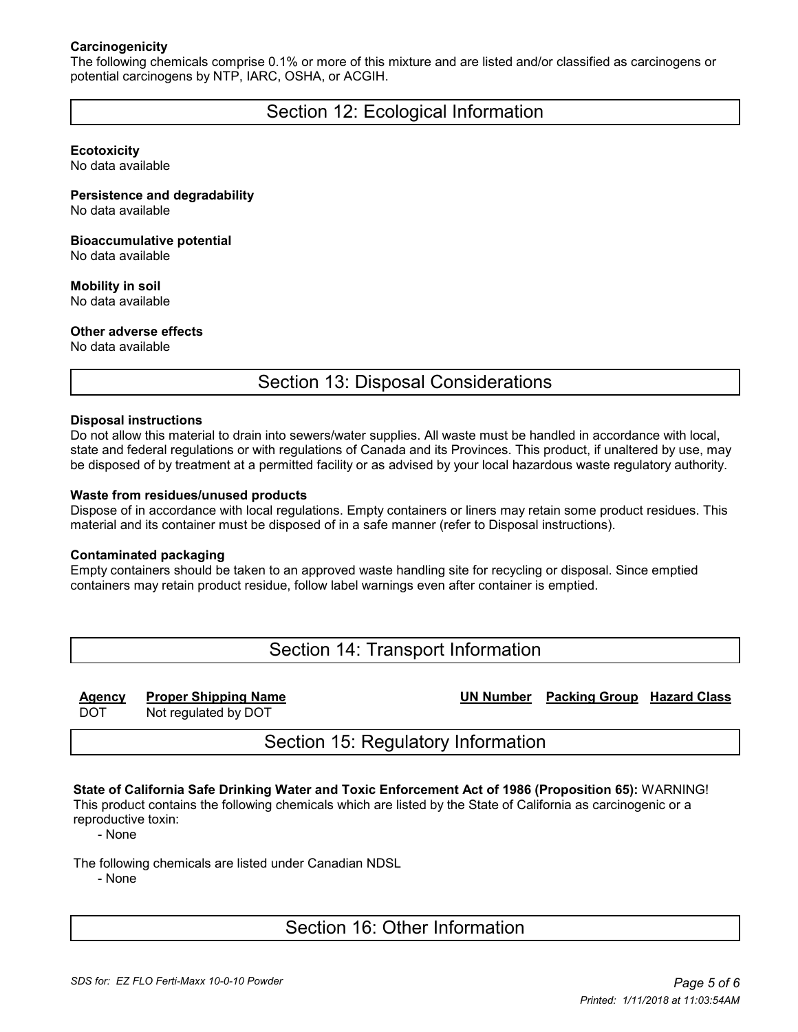#### **Carcinogenicity**

The following chemicals comprise 0.1% or more of this mixture and are listed and/or classified as carcinogens or potential carcinogens by NTP, IARC, OSHA, or ACGIH.

## Section 12: Ecological Information

#### **Ecotoxicity**

No data available

#### **Persistence and degradability** No data available

#### **Bioaccumulative potential** No data available

**Mobility in soil**

No data available

#### **Other adverse effects**

No data available

## Section 13: Disposal Considerations

#### **Disposal instructions**

Do not allow this material to drain into sewers/water supplies. All waste must be handled in accordance with local, state and federal regulations or with regulations of Canada and its Provinces. This product, if unaltered by use, may be disposed of by treatment at a permitted facility or as advised by your local hazardous waste regulatory authority.

#### **Waste from residues/unused products**

Dispose of in accordance with local regulations. Empty containers or liners may retain some product residues. This material and its container must be disposed of in a safe manner (refer to Disposal instructions).

#### **Contaminated packaging**

Empty containers should be taken to an approved waste handling site for recycling or disposal. Since emptied containers may retain product residue, follow label warnings even after container is emptied.

Section 14: Transport Information

**Agency Proper Shipping Name UN Number Packing Group Hazard Class**

DOT Not regulated by DOT

## Section 15: Regulatory Information

### **State of California Safe Drinking Water and Toxic Enforcement Act of 1986 (Proposition 65):** WARNING!

This product contains the following chemicals which are listed by the State of California as carcinogenic or a reproductive toxin:

- None

The following chemicals are listed under Canadian NDSL

- None

## Section 16: Other Information